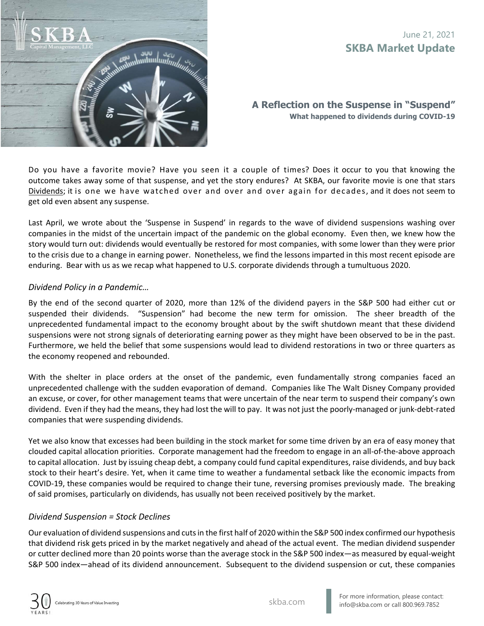

**A Reflection on the Suspense in "Suspend" What happened to dividends during COVID-19** 

Do you have a favorite movie? Have you seen it a couple of times? Does it occur to you that knowing the outcome takes away some of that suspense, and yet the story endures? At SKBA, our favorite movie is one that stars Dividends; it is one we have watched over and over and over again for decades, and it does not seem to get old even absent any suspense.

Last April, we wrote about the 'Suspense in Suspend' in regards to the wave of dividend suspensions washing over companies in the midst of the uncertain impact of the pandemic on the global economy. Even then, we knew how the story would turn out: dividends would eventually be restored for most companies, with some lower than they were prior to the crisis due to a change in earning power. Nonetheless, we find the lessons imparted in this most recent episode are enduring. Bear with us as we recap what happened to U.S. corporate dividends through a tumultuous 2020.

### *Dividend Policy in a Pandemic…*

By the end of the second quarter of 2020, more than 12% of the dividend payers in the S&P 500 had either cut or suspended their dividends. "Suspension" had become the new term for omission. The sheer breadth of the unprecedented fundamental impact to the economy brought about by the swift shutdown meant that these dividend suspensions were not strong signals of deteriorating earning power as they might have been observed to be in the past. Furthermore, we held the belief that some suspensions would lead to dividend restorations in two or three quarters as the economy reopened and rebounded.

With the shelter in place orders at the onset of the pandemic, even fundamentally strong companies faced an unprecedented challenge with the sudden evaporation of demand. Companies like The Walt Disney Company provided an excuse, or cover, for other management teams that were uncertain of the near term to suspend their company's own dividend. Even if they had the means, they had lost the will to pay. It was not just the poorly‐managed or junk‐debt‐rated companies that were suspending dividends.

Yet we also know that excesses had been building in the stock market for some time driven by an era of easy money that clouded capital allocation priorities. Corporate management had the freedom to engage in an all‐of‐the‐above approach to capital allocation. Just by issuing cheap debt, a company could fund capital expenditures, raise dividends, and buy back stock to their heart's desire. Yet, when it came time to weather a fundamental setback like the economic impacts from COVID‐19, these companies would be required to change their tune, reversing promises previously made. The breaking of said promises, particularly on dividends, has usually not been received positively by the market.

### *Dividend Suspension = Stock Declines*

Our evaluation of dividend suspensions and cuts in the first half of 2020 within the S&P 500 index confirmed our hypothesis that dividend risk gets priced in by the market negatively and ahead of the actual event. The median dividend suspender or cutter declined more than 20 points worse than the average stock in the S&P 500 index—as measured by equal‐weight S&P 500 index—ahead of its dividend announcement. Subsequent to the dividend suspension or cut, these companies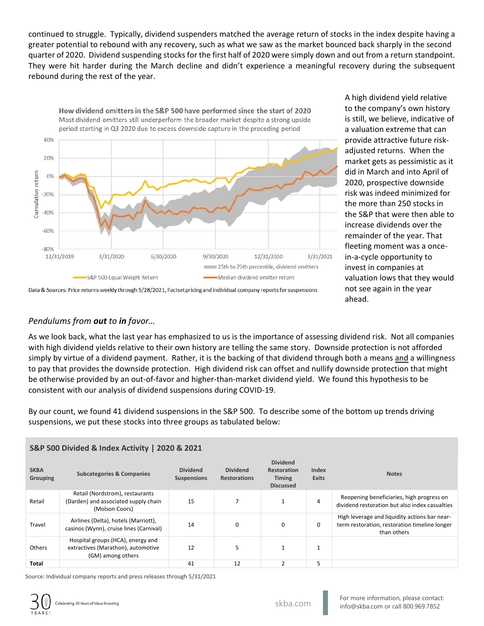continued to struggle. Typically, dividend suspenders matched the average return of stocks in the index despite having a greater potential to rebound with any recovery, such as what we saw as the market bounced back sharply in the second quarter of 2020. Dividend suspending stocks for the first half of 2020 were simply down and out from a return standpoint. They were hit harder during the March decline and didn't experience a meaningful recovery during the subsequent rebound during the rest of the year.



A high dividend yield relative to the company's own history is still, we believe, indicative of a valuation extreme that can provide attractive future risk‐ adjusted returns. When the market gets as pessimistic as it did in March and into April of 2020, prospective downside risk was indeed minimized for the more than 250 stocks in the S&P that were then able to increase dividends over the remainder of the year. That fleeting moment was a once‐ in‐a‐cycle opportunity to invest in companies at valuation lows that they would not see again in the year ahead.

# *Pendulums from out to in favor…*

As we look back, what the last year has emphasized to us is the importance of assessing dividend risk. Not all companies with high dividend yields relative to their own history are telling the same story. Downside protection is not afforded simply by virtue of a dividend payment. Rather, it is the backing of that dividend through both a means and a willingness to pay that provides the downside protection. High dividend risk can offset and nullify downside protection that might be otherwise provided by an out-of-favor and higher-than-market dividend yield. We found this hypothesis to be consistent with our analysis of dividend suspensions during COVID‐19.

By our count, we found 41 dividend suspensions in the S&P 500. To describe some of the bottom up trends driving suspensions, we put these stocks into three groups as tabulated below:

| <b>SKBA</b><br><b>Grouping</b> | <b>Subcategories &amp; Companies</b>                                                         | <b>Dividend</b><br><b>Suspensions</b> | <b>Dividend</b><br><b>Restorations</b> | <b>Dividend</b><br>Restoration<br><b>Timing</b><br><b>Discussed</b> | Index<br><b>Exits</b> | <b>Notes</b>                                                                                                  |
|--------------------------------|----------------------------------------------------------------------------------------------|---------------------------------------|----------------------------------------|---------------------------------------------------------------------|-----------------------|---------------------------------------------------------------------------------------------------------------|
| Retail                         | Retail (Nordstrom), restaurants<br>(Darden) and associated supply chain<br>(Molson Coors)    | 15                                    | 7                                      | л.                                                                  | $\overline{4}$        | Reopening beneficiaries, high progress on<br>dividend restoration but also index casualties                   |
| Travel                         | Airlines (Delta), hotels (Marriott),<br>casinos (Wynn), cruise lines (Carnival)              | 14                                    | 0                                      | $\mathbf 0$                                                         | 0                     | High leverage and liquidity actions bar near-<br>term restoration, restoration timeline longer<br>than others |
| Others                         | Hospital groups (HCA), energy and<br>extractives (Marathon), automotive<br>(GM) among others | 12                                    | 5                                      |                                                                     | $\mathbf{1}$          |                                                                                                               |
| <b>Total</b>                   |                                                                                              | 41                                    | 12                                     | $\overline{2}$                                                      | 5                     |                                                                                                               |

### **S&P 500 Divided & Index Activity | 2020 & 2021**

Source: Individual company reports and press releases through 5/31/2021